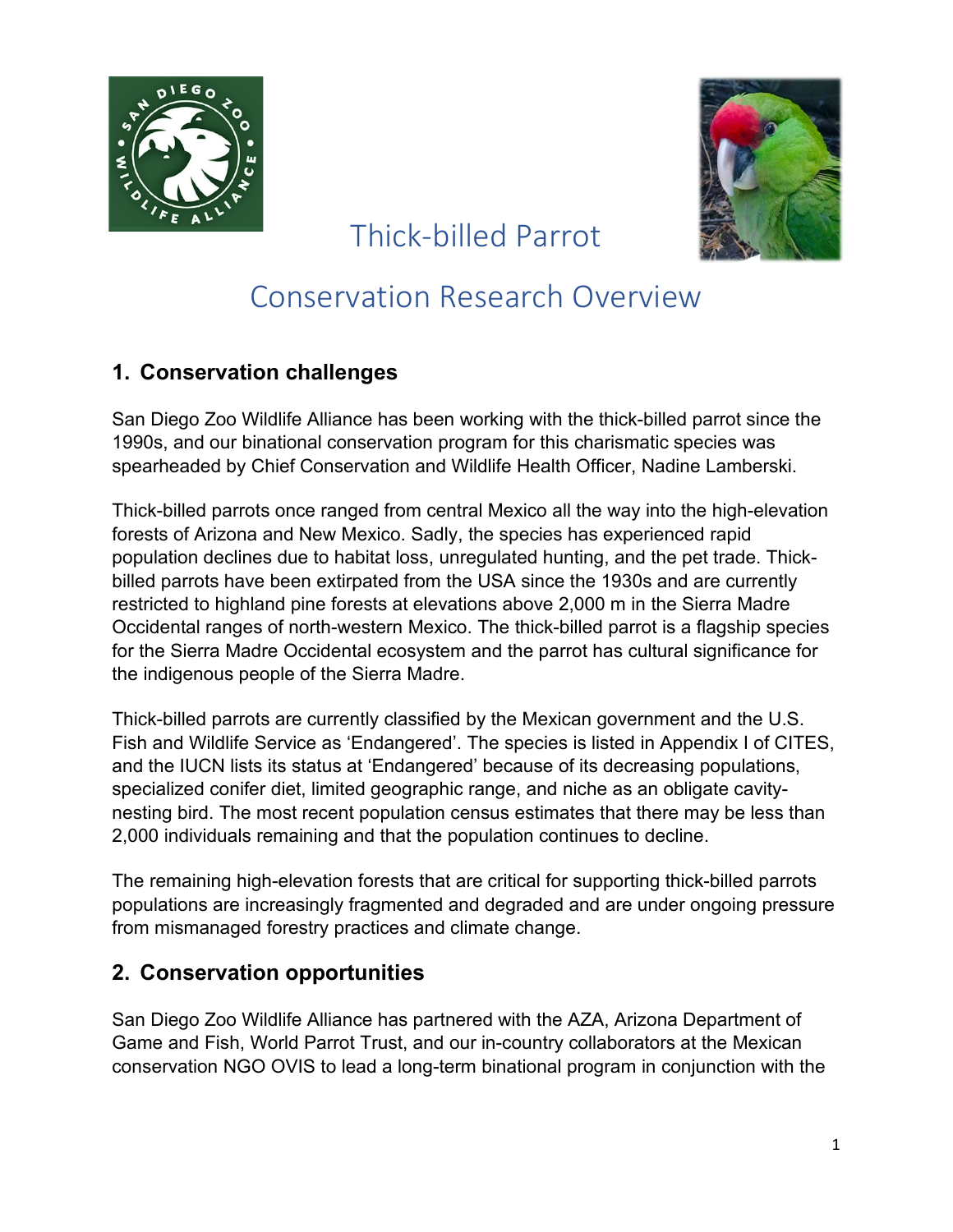



# Thick-billed Parrot

## Conservation Research Overview

#### **1. Conservation challenges**

San Diego Zoo Wildlife Alliance has been working with the thick-billed parrot since the 1990s, and our binational conservation program for this charismatic species was spearheaded by Chief Conservation and Wildlife Health Officer, Nadine Lamberski.

Thick-billed parrots once ranged from central Mexico all the way into the high-elevation forests of Arizona and New Mexico. Sadly, the species has experienced rapid population declines due to habitat loss, unregulated hunting, and the pet trade. Thickbilled parrots have been extirpated from the USA since the 1930s and are currently restricted to highland pine forests at elevations above 2,000 m in the Sierra Madre Occidental ranges of north-western Mexico. The thick-billed parrot is a flagship species for the Sierra Madre Occidental ecosystem and the parrot has cultural significance for the indigenous people of the Sierra Madre.

Thick-billed parrots are currently classified by the Mexican government and the U.S. Fish and Wildlife Service as 'Endangered'. The species is listed in Appendix I of CITES, and the IUCN lists its status at 'Endangered' because of its decreasing populations, specialized conifer diet, limited geographic range, and niche as an obligate cavitynesting bird. The most recent population census estimates that there may be less than 2,000 individuals remaining and that the population continues to decline.

The remaining high-elevation forests that are critical for supporting thick-billed parrots populations are increasingly fragmented and degraded and are under ongoing pressure from mismanaged forestry practices and climate change.

#### **2. Conservation opportunities**

San Diego Zoo Wildlife Alliance has partnered with the AZA, Arizona Department of Game and Fish, World Parrot Trust, and our in-country collaborators at the Mexican conservation NGO OVIS to lead a long-term binational program in conjunction with the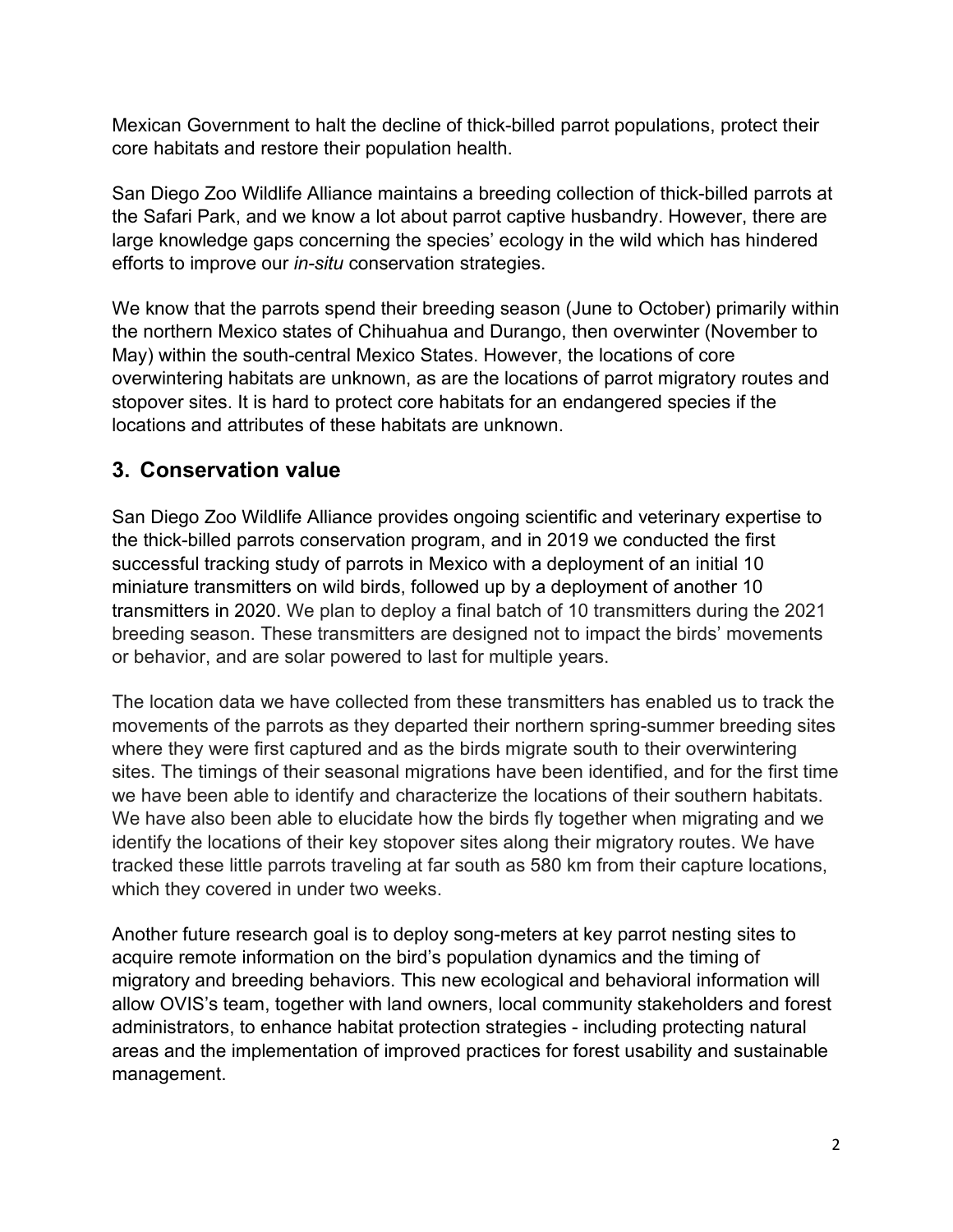Mexican Government to halt the decline of thick-billed parrot populations, protect their core habitats and restore their population health.

San Diego Zoo Wildlife Alliance maintains a breeding collection of thick-billed parrots at the Safari Park, and we know a lot about parrot captive husbandry. However, there are large knowledge gaps concerning the species' ecology in the wild which has hindered efforts to improve our *in-situ* conservation strategies.

We know that the parrots spend their breeding season (June to October) primarily within the northern Mexico states of Chihuahua and Durango, then overwinter (November to May) within the south-central Mexico States. However, the locations of core overwintering habitats are unknown, as are the locations of parrot migratory routes and stopover sites. It is hard to protect core habitats for an endangered species if the locations and attributes of these habitats are unknown.

#### **3. Conservation value**

San Diego Zoo Wildlife Alliance provides ongoing scientific and veterinary expertise to the thick-billed parrots conservation program, and in 2019 we conducted the first successful tracking study of parrots in Mexico with a deployment of an initial 10 miniature transmitters on wild birds, followed up by a deployment of another 10 transmitters in 2020. We plan to deploy a final batch of 10 transmitters during the 2021 breeding season. These transmitters are designed not to impact the birds' movements or behavior, and are solar powered to last for multiple years.

The location data we have collected from these transmitters has enabled us to track the movements of the parrots as they departed their northern spring-summer breeding sites where they were first captured and as the birds migrate south to their overwintering sites. The timings of their seasonal migrations have been identified, and for the first time we have been able to identify and characterize the locations of their southern habitats. We have also been able to elucidate how the birds fly together when migrating and we identify the locations of their key stopover sites along their migratory routes. We have tracked these little parrots traveling at far south as 580 km from their capture locations, which they covered in under two weeks.

Another future research goal is to deploy song-meters at key parrot nesting sites to acquire remote information on the bird's population dynamics and the timing of migratory and breeding behaviors. This new ecological and behavioral information will allow OVIS's team, together with land owners, local community stakeholders and forest administrators, to enhance habitat protection strategies - including protecting natural areas and the implementation of improved practices for forest usability and sustainable management.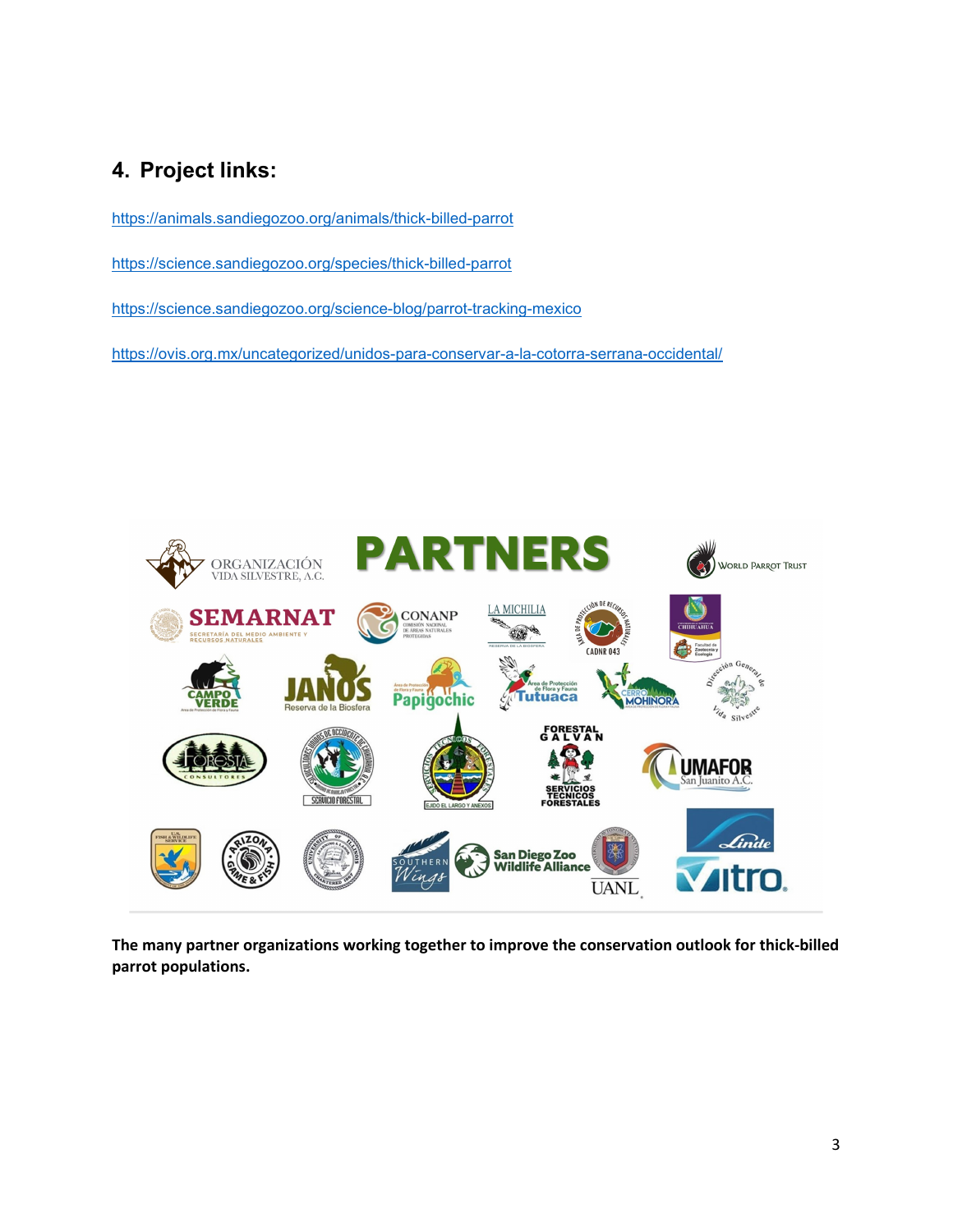### **4. Project links:**

<https://animals.sandiegozoo.org/animals/thick-billed-parrot>

<https://science.sandiegozoo.org/species/thick-billed-parrot>

<https://science.sandiegozoo.org/science-blog/parrot-tracking-mexico>

<https://ovis.org.mx/uncategorized/unidos-para-conservar-a-la-cotorra-serrana-occidental/>



**The many partner organizations working together to improve the conservation outlook for thick-billed parrot populations.**